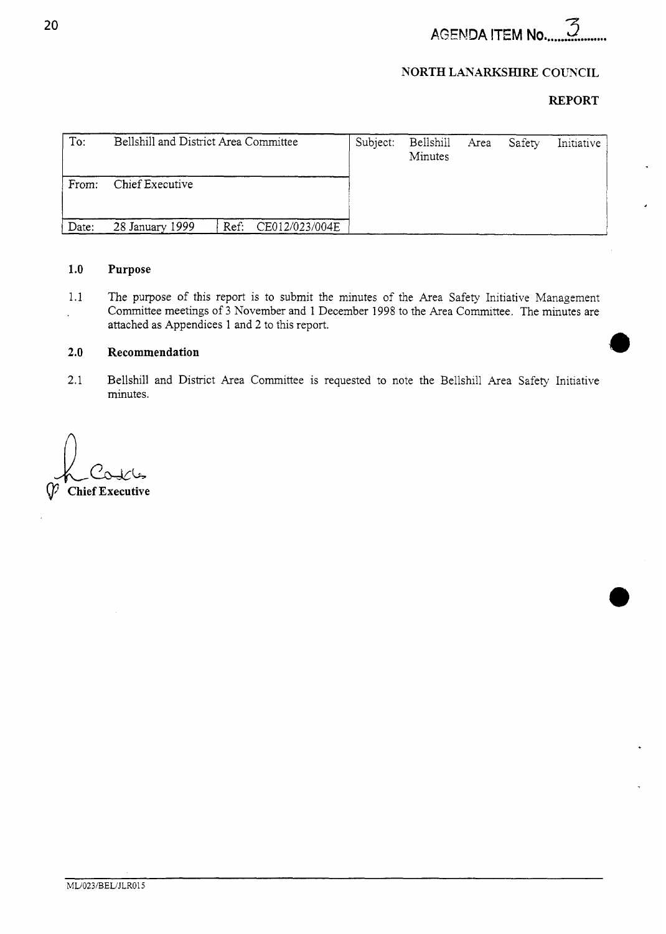*sr:*  **AGENDA ITEM No.** 

# **NORTH LANARKSHIRE COUNCIL**

# **REPORT**

| To:   | Bellshill and District Area Committee |                | Subject: | Bellshill<br>Minutes | Area Safety | Initiative |
|-------|---------------------------------------|----------------|----------|----------------------|-------------|------------|
| From: | Chief Executive                       |                |          |                      |             |            |
| Date: | Ref:<br>28 January 1999               | CE012/023/004E |          |                      |             |            |

### **1.0 Purpose**

1.1 The purpose of this report is to submit the minutes of the Area Safety Initiative Management Committee meetings of 3 November and 1 December 1998 to the Area Committee. The minutes are  $\ddot{\phantom{a}}$ attached as Appendices 1 and 2 to this report.

### **2.0 Recommendation**

2.1 Bellshill and District Area Committee is requested to note the Bellshill Area Safety Initiative minutes.

**Chief Executive**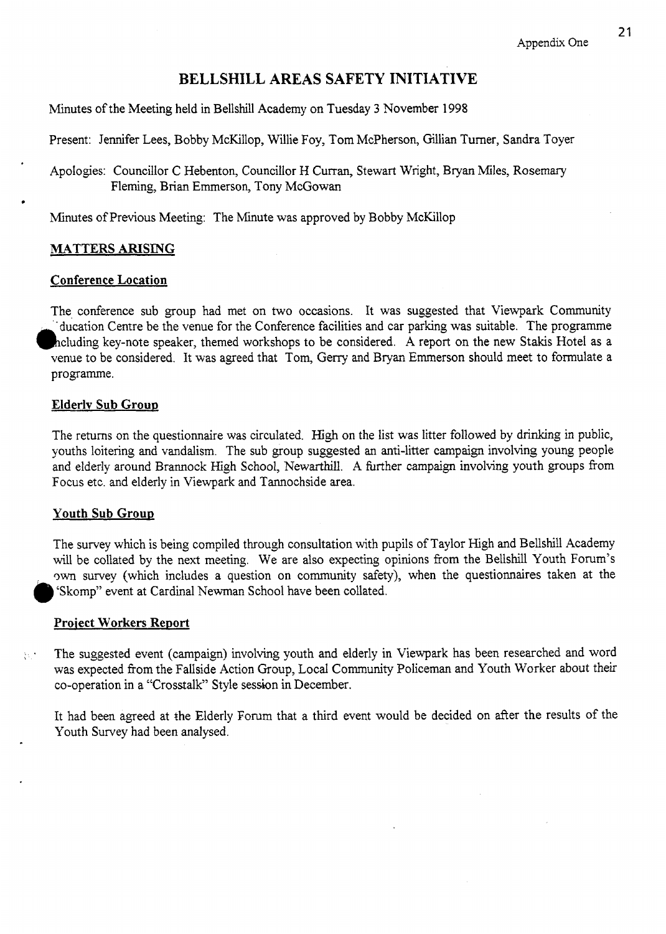# **BELLSHILL AREAS SAFETY INITIATIVE**

Minutes of the Meeting held in Bellshill Academy on Tuesday **3** November 1998

Present: Jennifer Lees, Bobby McKillop, Willie Foy, Tom McPherson, Gillian Turner, Sandra Toyer

Apologies: Councillor C Hebenton, Councillor H Curran, Stewart Wright, Bryan Miles, Rosemary Fleming, Brian Emmerson, Tony McGowan

Minutes of Previous Meeting: The Minute was approved by Bobby McKillop

# **MATTERS ARISING**

# Conference Location

The conference sub group had met on two occasions. It was suggested that Viewpark Community 'ducation Centre be the venue for the Conference facilities and car parking was suitable. The programme heluding key-note speaker, themed workshops to be considered. A report on the new Stakis Hotel as a venue to be considered. It was agreed that Tom, Gerry and Bryan Emmerson should meet to formulate a programme.

# Elderlv **Sub** Grow

The returns on the questionnaire was circulated. High on the list was litter followed by drinking in public, youths loitering and vandalism. The sub group suggested an anti-litter campaign involving young people and elderly around Brannock High School, Newarthill. **A** hrther campaign involving youth groups from Focus etc. and elderly in Viewpark and Tannochside area.

## Youth Sub Group

The survey which is being compiled through consultation with pupils of Taylor High and Bellshill Academy will be collated by the next meeting. We are also expecting opinions from the Bellshill Youth Forum's wn survey (which includes a question on community safety), when the questionnaires taken at the **Skomp**" event at Cardinal Newman School have been collated.

## Project Workers Report

 $\mathbb{R}^n$ . The suggested event (campaign) involving youth and elderly in Viewpark has been researched and word was expected from the FalIside Action Group, Local Community Policeman and Youth Worker about their co-operation in a "Crosstalk" Style session in December.

It had been agreed at the Elderly Forum that a third event would be decided on after the results of the Youth Survey had been analysed.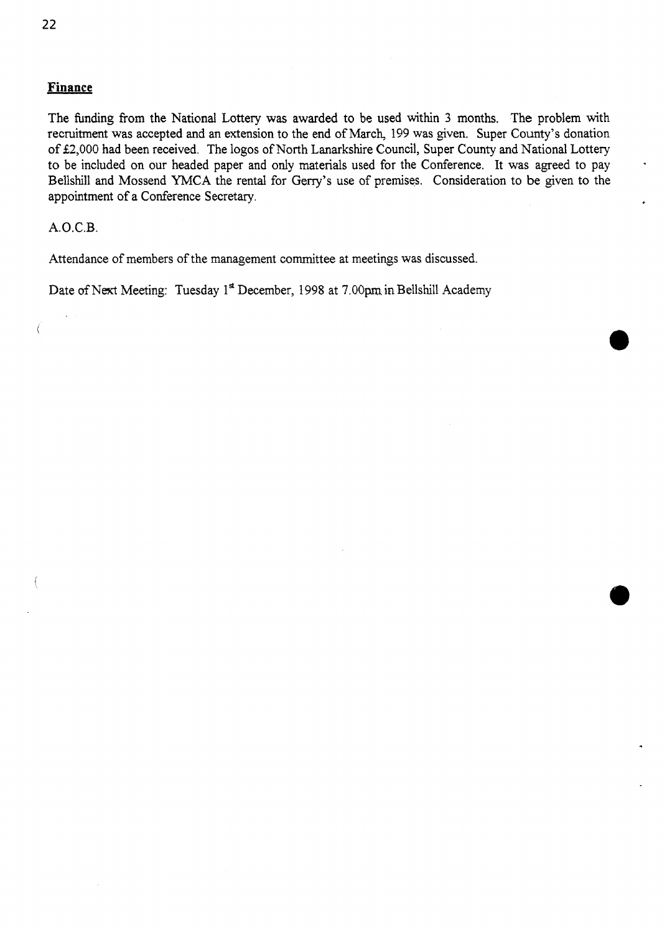# **Finance**

The funding from the National Lottery was awarded to be used within 3 months. The problem with recruitment was accepted and an extension to the end of March, 159 was given. Super County's donation of £2,000 had been received. The logos of North Lanarkshire Council, Super County and National Lottery to be included on our headed paper and only materials used for the Conference. It was agreed to pay Bellshill and Mossend YMCA the rental for Gerry's use of premises. Consideration to be given to the appointment of a Conference Secretary.

# **A.O.C.B.**

 $\big($ 

Attendance of members of the management committee at meetings was discussed.

Date of Next Meeting: Tuesday 1<sup>st</sup> December, 1998 at 7.00pm in Bellshill Academy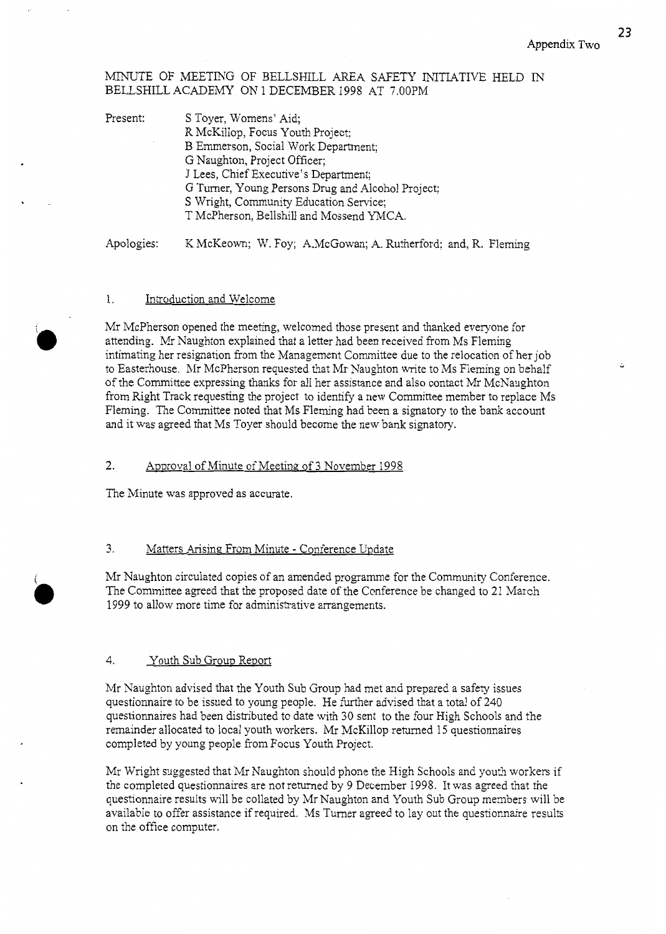**23** 

# MINUTE OF MEETING OF BELLSHILL AREA SAFETY INITIATIVE HELD IN BELLSHILL ACADEMY ON 1 DECEMBER 1998 AT 7.00PM

| Present: | S Toyer, Womens' Aid;                             |  |  |  |  |
|----------|---------------------------------------------------|--|--|--|--|
|          | R McKillop, Focus Youth Project;                  |  |  |  |  |
|          | B Emmerson, Social Work Department;               |  |  |  |  |
|          | G Naughton, Project Officer;                      |  |  |  |  |
|          | J Lees, Chief Executive's Department;             |  |  |  |  |
|          | G Turner, Young Persons Drug and Alcohol Project; |  |  |  |  |
|          | S Wright, Community Education Service;            |  |  |  |  |
|          | T McPherson, Bellshill and Mossend YMCA.          |  |  |  |  |
|          |                                                   |  |  |  |  |

Apologies: K McKeown; W. Foy; A.McGowan; A. Rutherford; and, R. Fleming

## 1. Introduction and Welcome

Mr McPherson opened the meeting, welcomed those present and thanked everyone for attending. Mr Naughton explained that a letter had been received from Ms Fleming intimating her resignation from the Management Committee due to the relocation of her job to Easterhouse. Mr McPherson requested that Mr Naughton write to Ms Fleming on behalf of the Committee expressing thanks for all her assistance and also contact Mr McNaughton from Right Track requesting the project to identify a new Committee member to replace Ms Fleming. The Committee noted that Ms Fleming had been a signatory to the bank account and it was agreed that Ms Toyer should become the new bank signatory.

#### 2. ADproval of Minute of Meeting of 3 November 1998

The Minute was approved as accurate.

# 3. Matters Arising From Minute - Conference Update

Mr Naughton circulated copies of an amended programme for the Community Conference. The Committee agreed that the proposed date of the Conference be changed to 21 March 1999 to allow more time for administrative arrangements.

## 4. Youth Sub Group Report

Mr Naughton advised that the Youth Sub Group had met and prepared a safety issues questionnaire to be issued to young people. He further advised that a total of 240 questionnaires had been distributed to date with 30 sent to the four High Schools and the remainder allocated to local youth workers. Mr McKillop returned 15 questionnaires completed by young people from Focus Youth Project.

Mr Wright suggested that Mr Naughton should phone the High Schools and youth workers if the completed questionnaires are not returned by 9 December 1998. It was agreed that the questionnaire results will be collated by Mr Naughton and Youth Sub Group members will be available to offer assistance if required. Ms Turner agreed to lay out the questionnaire results on the office computer.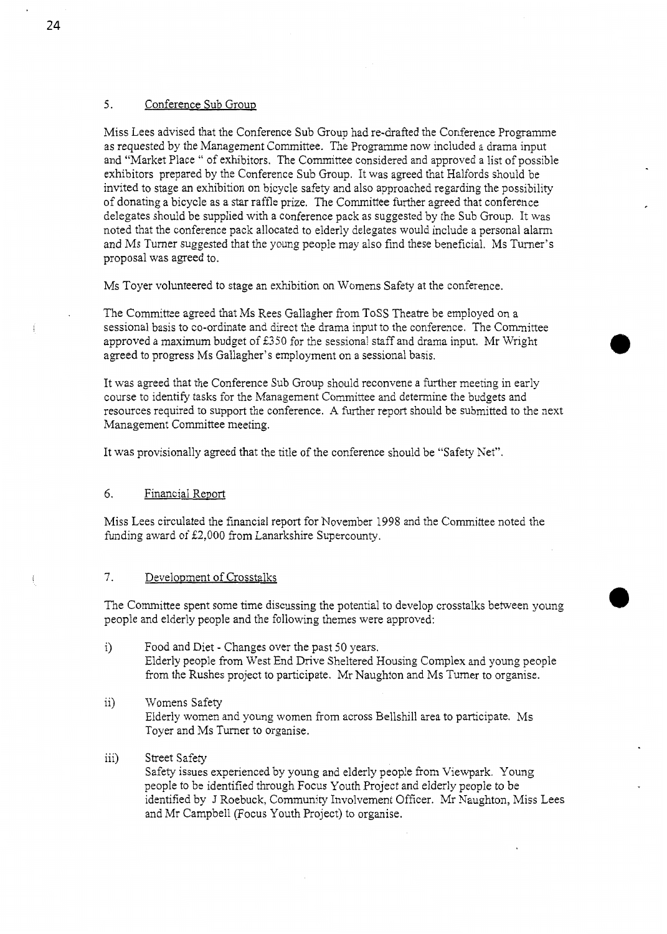# **5.** Conference Sub Group

Miss Lees advised that the Conference Sub Group had re-drafted the Conference Programme as requested by the Management Committee. The Programme now included a drama input and "Market Place " of exhibitors. The Committee considered and approved a list of possible exhibitors prepared by the Conference Sub Group. It was agreed that Halfords should be invited to stage an exhibition on bicycle safety and also approached regarding the possibility of donating a bicycle as a star raffle prize. The Committee further agreed that conference delegates should be supplied with a conference pack as suggested by the Sub Group. It was noted that the conference pack allocated to elderly delegates would include a personal alarm and Ms Turner suggested that the young people may also find these beneficial. Ms Turner's proposal was agreed to.

Ms Toyer volunteered to stage an exhibition on Womens Safety at the conference.

The Committee agreed that Ms Rees Gallagher from TOSS Theatre be employed on a sessional basis to co-ordinate and direct the drama input to the conference. The Committee approved a maximum budget of €350 for the sessional staff and drama input. Mr Wright agreed to progress Ms Gallagher's employment on a sessional basis.

It was agreed that the Conference Sub Group should reconvene a further meeting in early course to identify tasks for the Management Committee and determine the budgets and resources required to support the conference. **A** further report should be submitted to the next Management Committee meeting.

It was provisionally agreed that the title of the conference should be "Safety Net".

### 6. Financial Report

Miss Lees circulated the financial report for November 1998 and the Committee noted the funding award of £2,000 from Lanarkshire Supercounty.

### 7. Development of Crosstalks

The Committee spent some time discussing the potential to develop crosstalks between young people and elderly people and the following themes were approved:

- i) Food and Diet Changes over the past 50 years. Elderly people from West End Drive Sheltered Housing Complex and young people from the Rushes project to participate. Mr Naughton and Ms Turner to organise.
- ii) Womens Safety Elderly women and young women from across Bellshill area to participate. Ms Toyer and Ms Turner to organise.
- iii) Street Safety Safety issues experienced by young and elderly people from Viewpark. Young people to be identified through Focus Youth Project and elderly people to be identified by J Roebuck, Community Involvement Officer. Mr Naughton, Miss Lees and Mr Campbell (Focus Youth Project) to organise.

24

!